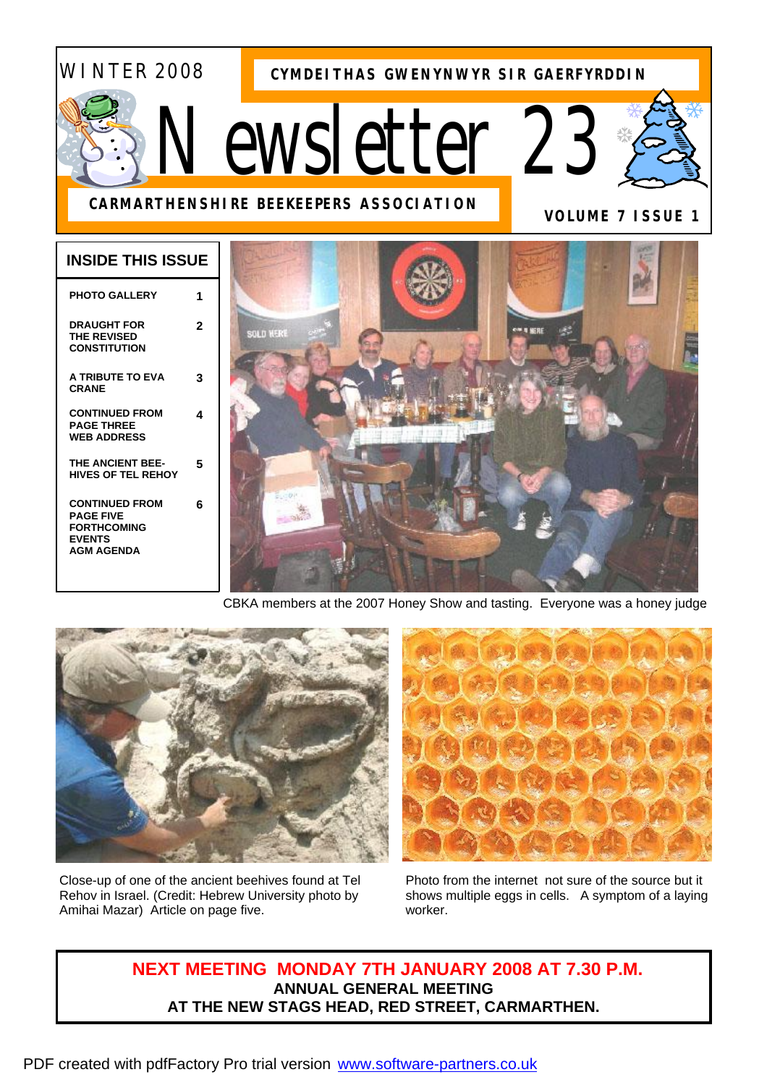# WINTER 2008 **VOLUME 7 ISSUE 1 PHOTO GALLERY 1 DRAUGHT FOR THE REVISED 2 INSIDE THIS ISSUE**  *Newsletter 23*  **CARMARTHENSHIRE BEEKEEPERS ASSOCIATION CYMDEITHAS GWENYNWYR SIR GAERFYRDDIN**

| A TRIBUTE TO EVA<br><b>CRANE</b>                                                               | 3 |
|------------------------------------------------------------------------------------------------|---|
| <b>CONTINUED FROM</b><br><b>PAGE THREE</b><br><b>WEB ADDRESS</b>                               | 4 |
| THE ANCIENT BEE-<br>HIVES OF TEL REHOY                                                         | 5 |
| <b>CONTINUED FROM</b><br>PAGE FIVE<br><b>FORTHCOMING</b><br><b>EVENTS</b><br><b>AGM AGENDA</b> | 6 |

**CONSTITUTION** 



CBKA members at the 2007 Honey Show and tasting. Everyone was a honey judge.



Close-up of one of the ancient beehives found at Tel Rehov in Israel. (Credit: Hebrew University photo by Amihai Mazar) Article on page five.



Photo from the internet not sure of the source but it shows multiple eggs in cells. A symptom of a laying worker.

**NEXT MEETING MONDAY 7TH JANUARY 2008 AT 7.30 P.M. ANNUAL GENERAL MEETING AT THE NEW STAGS HEAD, RED STREET, CARMARTHEN.**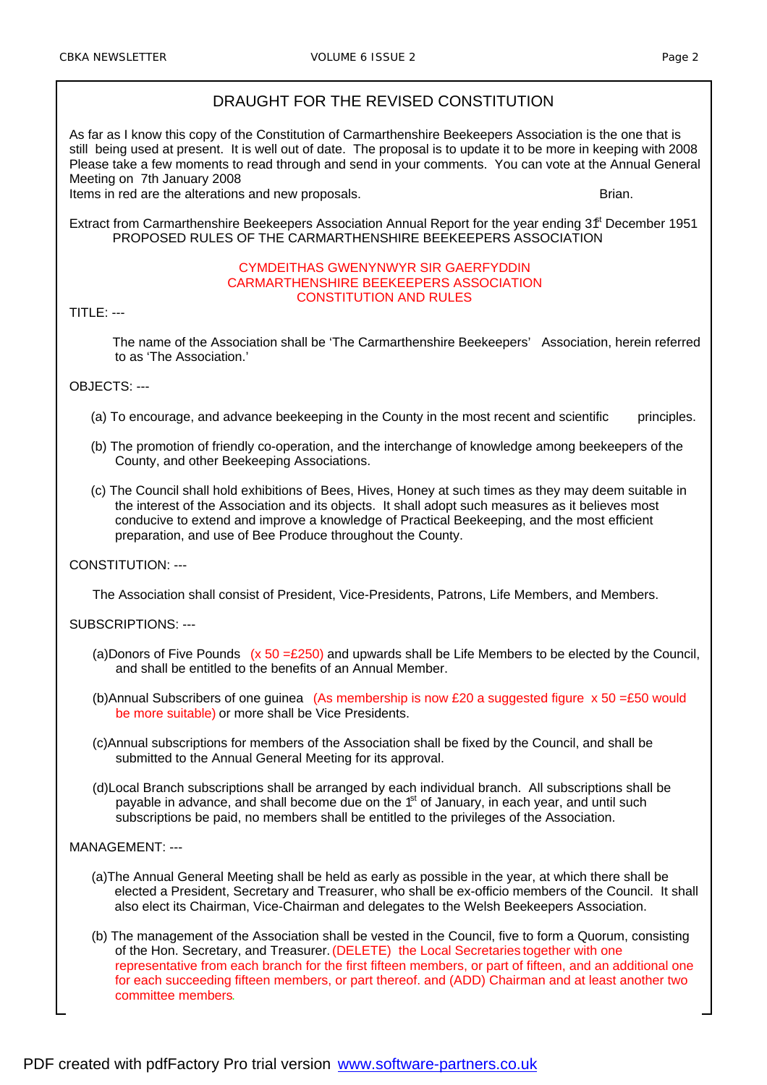# DRAUGHT FOR THE REVISED CONSTITUTION

As far as I know this copy of the Constitution of Carmarthenshire Beekeepers Association is the one that is still being used at present. It is well out of date. The proposal is to update it to be more in keeping with 2008 Please take a few moments to read through and send in your comments. You can vote at the Annual General Meeting on 7th January 2008

Items in red are the alterations and new proposals. The state of the state of the Brian.

Extract from Carmarthenshire Beekeepers Association Annual Report for the year ending  $3<sup>ft</sup>$  December 1951 PROPOSED RULES OF THE CARMARTHENSHIRE BEEKEEPERS ASSOCIATION

#### CYMDEITHAS GWENYNWYR SIR GAERFYDDIN CARMARTHENSHIRE BEEKEEPERS ASSOCIATION CONSTITUTION AND RULES

 $TITLE: -1$ 

 The name of the Association shall be 'The Carmarthenshire Beekeepers' Association, herein referred to as 'The Association.'

OBJECTS: ---

- (a) To encourage, and advance beekeeping in the County in the most recent and scientific principles.
- (b) The promotion of friendly co-operation, and the interchange of knowledge among beekeepers of the County, and other Beekeeping Associations.
- (c) The Council shall hold exhibitions of Bees, Hives, Honey at such times as they may deem suitable in the interest of the Association and its objects. It shall adopt such measures as it believes most conducive to extend and improve a knowledge of Practical Beekeeping, and the most efficient preparation, and use of Bee Produce throughout the County.

CONSTITUTION: ---

The Association shall consist of President, Vice-Presidents, Patrons, Life Members, and Members.

SUBSCRIPTIONS: ---

- (a)Donors of Five Pounds  $(x 50 = £250)$  and upwards shall be Life Members to be elected by the Council, and shall be entitled to the benefits of an Annual Member.
- (b)Annual Subscribers of one guinea (As membership is now £20 a suggested figure  $x 50 = £50$  would be more suitable) or more shall be Vice Presidents.
- (c)Annual subscriptions for members of the Association shall be fixed by the Council, and shall be submitted to the Annual General Meeting for its approval.
- (d)Local Branch subscriptions shall be arranged by each individual branch. All subscriptions shall be payable in advance, and shall become due on the 1<sup>st</sup> of January, in each year, and until such subscriptions be paid, no members shall be entitled to the privileges of the Association.

MANAGEMENT: ---

- (a)The Annual General Meeting shall be held as early as possible in the year, at which there shall be elected a President, Secretary and Treasurer, who shall be ex-officio members of the Council. It shall also elect its Chairman, Vice-Chairman and delegates to the Welsh Beekeepers Association.
- (b) The management of the Association shall be vested in the Council, five to form a Quorum, consisting of the Hon. Secretary, and Treasurer. (DELETE) the Local Secretaries together with one representative from each branch for the first fifteen members, or part of fifteen, and an additional one for each succeeding fifteen members, or part thereof. and (ADD) Chairman and at least another two committee members.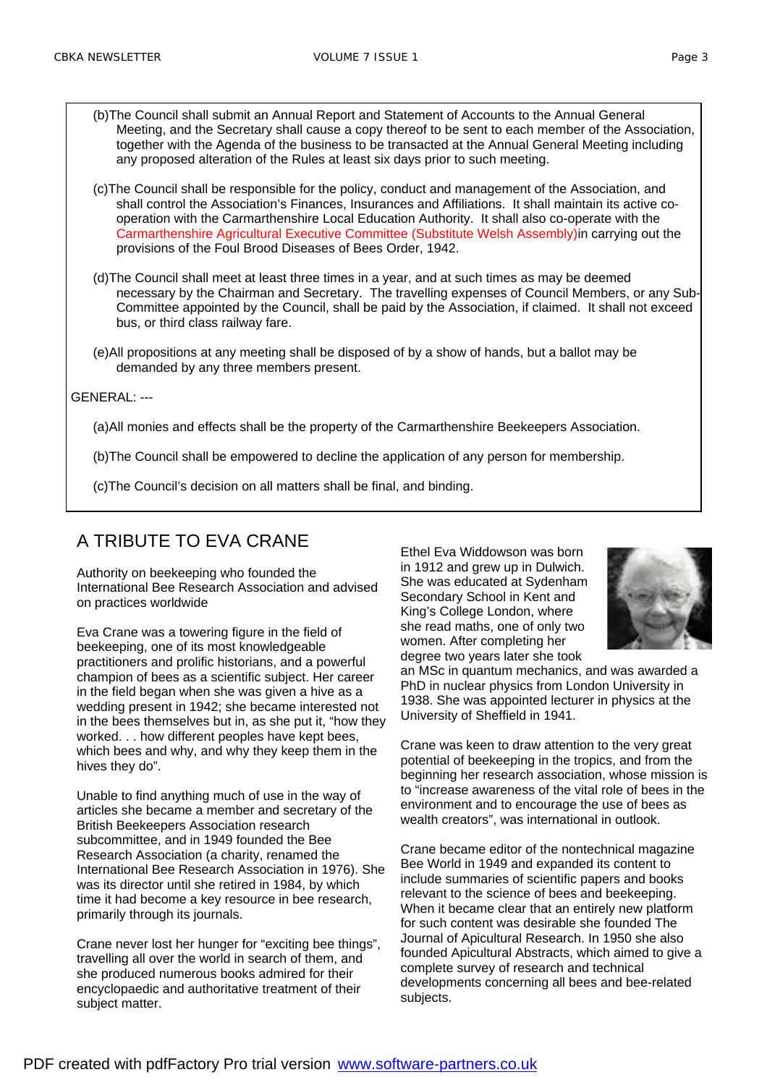- (b)The Council shall submit an Annual Report and Statement of Accounts to the Annual General Meeting, and the Secretary shall cause a copy thereof to be sent to each member of the Association, together with the Agenda of the business to be transacted at the Annual General Meeting including any proposed alteration of the Rules at least six days prior to such meeting.
- (c)The Council shall be responsible for the policy, conduct and management of the Association, and shall control the Association's Finances, Insurances and Affiliations. It shall maintain its active cooperation with the Carmarthenshire Local Education Authority. It shall also co-operate with the Carmarthenshire Agricultural Executive Committee (Substitute Welsh Assembly) in carrying out the provisions of the Foul Brood Diseases of Bees Order, 1942.
- (d)The Council shall meet at least three times in a year, and at such times as may be deemed necessary by the Chairman and Secretary. The travelling expenses of Council Members, or any Sub-Committee appointed by the Council, shall be paid by the Association, if claimed. It shall not exceed bus, or third class railway fare.
- (e)All propositions at any meeting shall be disposed of by a show of hands, but a ballot may be demanded by any three members present.

GENERAL: ---

(a)All monies and effects shall be the property of the Carmarthenshire Beekeepers Association.

(b)The Council shall be empowered to decline the application of any person for membership.

(c)The Council's decision on all matters shall be final, and binding.

# A TRIBUTE TO EVA CRANE

Authority on beekeeping who founded the International Bee Research Association and advised on practices worldwide

Eva Crane was a towering figure in the field of beekeeping, one of its most knowledgeable practitioners and prolific historians, and a powerful champion of bees as a scientific subject. Her career in the field began when she was given a hive as a wedding present in 1942; she became interested not in the bees themselves but in, as she put it, "how they worked. . . how different peoples have kept bees, which bees and why, and why they keep them in the hives they do".

Unable to find anything much of use in the way of articles she became a member and secretary of the British Beekeepers Association research subcommittee, and in 1949 founded the Bee Research Association (a charity, renamed the International Bee Research Association in 1976). She was its director until she retired in 1984, by which time it had become a key resource in bee research, primarily through its journals.

Crane never lost her hunger for "exciting bee things", travelling all over the world in search of them, and she produced numerous books admired for their encyclopaedic and authoritative treatment of their subject matter.

Ethel Eva Widdowson was born in 1912 and grew up in Dulwich. She was educated at Sydenham Secondary School in Kent and King's College London, where she read maths, one of only two women. After completing her degree two years later she took



an MSc in quantum mechanics, and was awarded a PhD in nuclear physics from London University in 1938. She was appointed lecturer in physics at the University of Sheffield in 1941.

Crane was keen to draw attention to the very great potential of beekeeping in the tropics, and from the beginning her research association, whose mission is to "increase awareness of the vital role of bees in the environment and to encourage the use of bees as wealth creators", was international in outlook.

Crane became editor of the nontechnical magazine Bee World in 1949 and expanded its content to include summaries of scientific papers and books relevant to the science of bees and beekeeping. When it became clear that an entirely new platform for such content was desirable she founded The Journal of Apicultural Research. In 1950 she also founded Apicultural Abstracts, which aimed to give a complete survey of research and technical developments concerning all bees and bee-related subjects.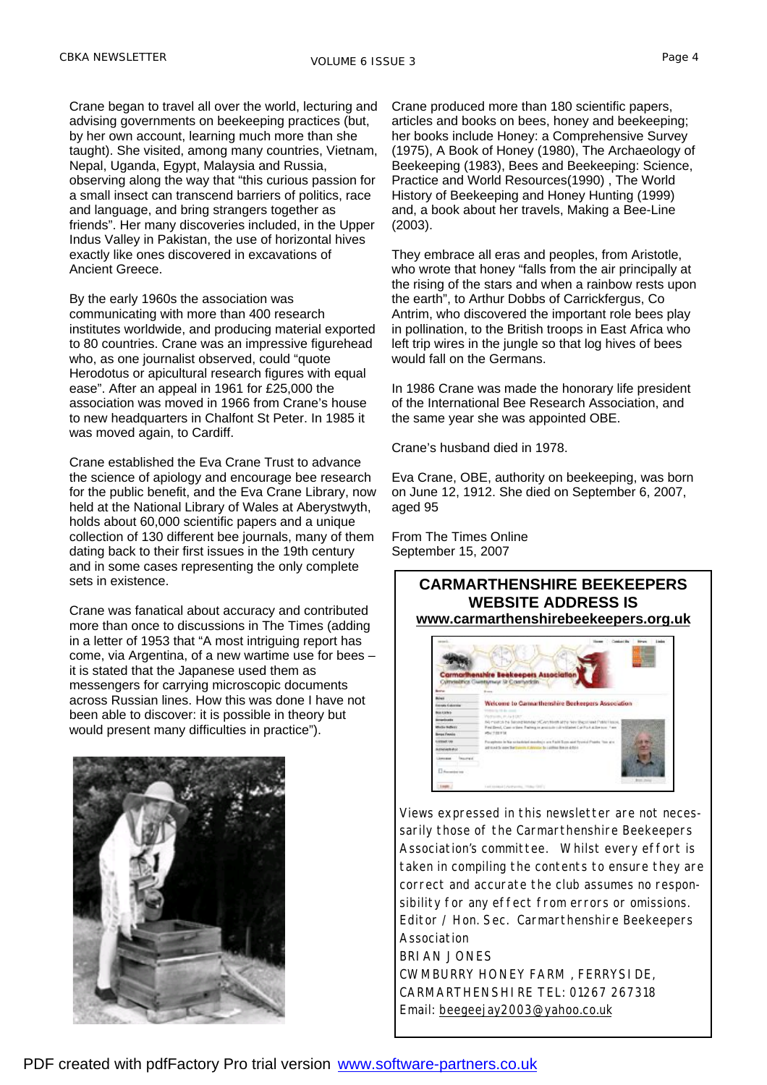Crane began to travel all over the world, lecturing and advising governments on beekeeping practices (but, by her own account, learning much more than she taught). She visited, among many countries, Vietnam, Nepal, Uganda, Egypt, Malaysia and Russia, observing along the way that "this curious passion for a small insect can transcend barriers of politics, race and language, and bring strangers together as friends". Her many discoveries included, in the Upper Indus Valley in Pakistan, the use of horizontal hives

exactly like ones discovered in excavations of Ancient Greece.

By the early 1960s the association was communicating with more than 400 research institutes worldwide, and producing material exported to 80 countries. Crane was an impressive figurehead who, as one journalist observed, could "quote Herodotus or apicultural research figures with equal ease". After an appeal in 1961 for £25,000 the association was moved in 1966 from Crane's house to new headquarters in Chalfont St Peter. In 1985 it was moved again, to Cardiff.

Crane established the Eva Crane Trust to advance the science of apiology and encourage bee research for the public benefit, and the Eva Crane Library, now held at the National Library of Wales at Aberystwyth, holds about 60,000 scientific papers and a unique collection of 130 different bee journals, many of them dating back to their first issues in the 19th century and in some cases representing the only complete sets in existence.

Crane was fanatical about accuracy and contributed more than once to discussions in The Times (adding in a letter of 1953 that "A most intriguing report has come, via Argentina, of a new wartime use for bees – it is stated that the Japanese used them as messengers for carrying microscopic documents across Russian lines. How this was done I have not been able to discover: it is possible in theory but would present many difficulties in practice").



Crane produced more than 180 scientific papers, articles and books on bees, honey and beekeeping; her books include Honey: a Comprehensive Survey (1975), A Book of Honey (1980), The Archaeology of Beekeeping (1983), Bees and Beekeeping: Science, Practice and World Resources(1990) , The World History of Beekeeping and Honey Hunting (1999) and, a book about her travels, Making a Bee-Line (2003).

They embrace all eras and peoples, from Aristotle, who wrote that honey "falls from the air principally at the rising of the stars and when a rainbow rests upon the earth", to Arthur Dobbs of Carrickfergus, Co Antrim, who discovered the important role bees play in pollination, to the British troops in East Africa who left trip wires in the jungle so that log hives of bees would fall on the Germans.

In 1986 Crane was made the honorary life president of the International Bee Research Association, and the same year she was appointed OBE.

Crane's husband died in 1978.

Eva Crane, OBE, authority on beekeeping, was born on June 12, 1912. She died on September 6, 2007, aged 95

From The Times Online September 15, 2007



Views expressed in this newsletter are not necessarily those of the Carmarthenshire Beekeepers Association's committee. Whilst every effort is taken in compiling the contents to ensure they are correct and accurate the club assumes no responsibility for any effect from errors or omissions. Editor / Hon. Sec. Carmarthenshire Beekeepers Association BRIAN JONES CWMBURRY HONEY FARM , FERRYSIDE, CARMARTHENSHIRE TEL: 01267 267318 Email: [beegeejay2003@yahoo.co.uk](mailto:beegeejay2003@yahoo.co.uk)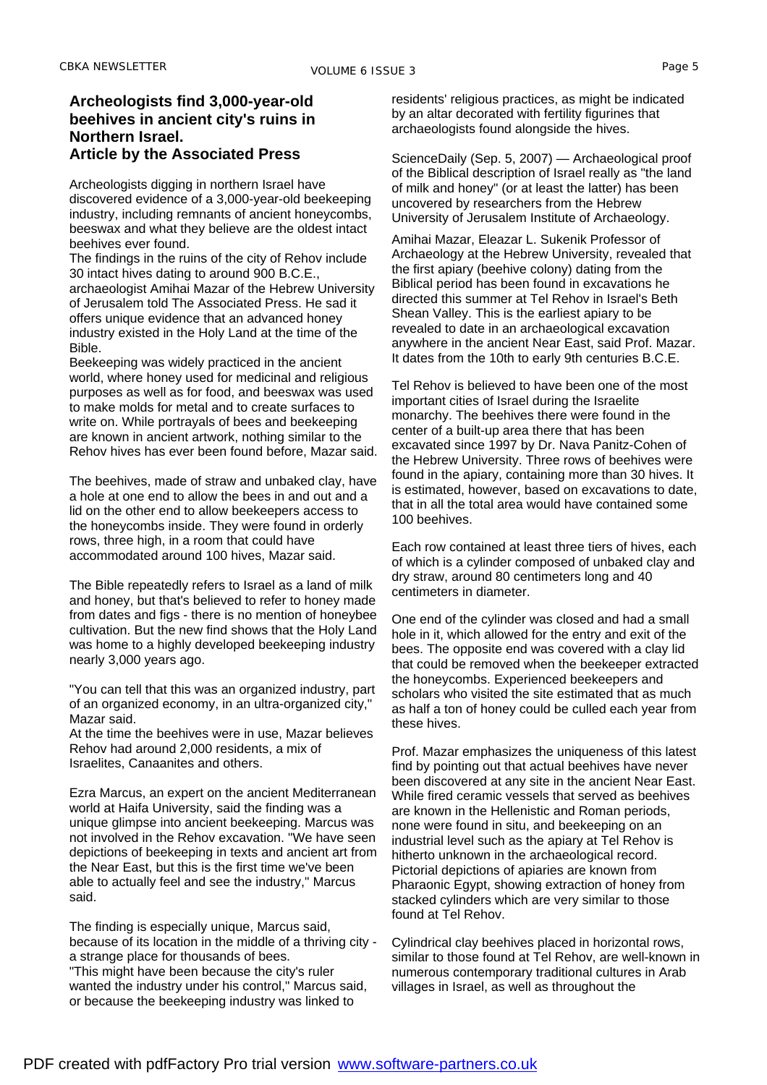### **Archeologists find 3,000-year-old beehives in ancient city's ruins in Northern Israel. Article by the Associated Press**

Archeologists digging in northern Israel have discovered evidence of a 3,000-year-old beekeeping industry, including remnants of ancient honeycombs, beeswax and what they believe are the oldest intact beehives ever found.

The findings in the ruins of the city of Rehov include 30 intact hives dating to around 900 B.C.E., archaeologist Amihai Mazar of the Hebrew University of Jerusalem told The Associated Press. He sad it offers unique evidence that an advanced honey industry existed in the Holy Land at the time of the Bible.

Beekeeping was widely practiced in the ancient world, where honey used for medicinal and religious purposes as well as for food, and beeswax was used to make molds for metal and to create surfaces to write on. While portrayals of bees and beekeeping are known in ancient artwork, nothing similar to the Rehov hives has ever been found before, Mazar said.

The beehives, made of straw and unbaked clay, have a hole at one end to allow the bees in and out and a lid on the other end to allow beekeepers access to the honeycombs inside. They were found in orderly rows, three high, in a room that could have accommodated around 100 hives, Mazar said.

The Bible repeatedly refers to Israel as a land of milk and honey, but that's believed to refer to honey made from dates and figs - there is no mention of honeybee cultivation. But the new find shows that the Holy Land was home to a highly developed beekeeping industry nearly 3,000 years ago.

"You can tell that this was an organized industry, part of an organized economy, in an ultra-organized city," Mazar said.

At the time the beehives were in use, Mazar believes Rehov had around 2,000 residents, a mix of Israelites, Canaanites and others.

Ezra Marcus, an expert on the ancient Mediterranean world at Haifa University, said the finding was a unique glimpse into ancient beekeeping. Marcus was not involved in the Rehov excavation. "We have seen depictions of beekeeping in texts and ancient art from the Near East, but this is the first time we've been able to actually feel and see the industry," Marcus said.

The finding is especially unique, Marcus said, because of its location in the middle of a thriving city a strange place for thousands of bees. "This might have been because the city's ruler

wanted the industry under his control," Marcus said, or because the beekeeping industry was linked to

residents' religious practices, as might be indicated by an altar decorated with fertility figurines that archaeologists found alongside the hives.

ScienceDaily (Sep. 5, 2007) — Archaeological proof of the Biblical description of Israel really as "the land of milk and honey" (or at least the latter) has been uncovered by researchers from the Hebrew University of Jerusalem Institute of Archaeology.

Amihai Mazar, Eleazar L. Sukenik Professor of Archaeology at the Hebrew University, revealed that the first apiary (beehive colony) dating from the Biblical period has been found in excavations he directed this summer at Tel Rehov in Israel's Beth Shean Valley. This is the earliest apiary to be revealed to date in an archaeological excavation anywhere in the ancient Near East, said Prof. Mazar. It dates from the 10th to early 9th centuries B.C.E.

Tel Rehov is believed to have been one of the most important cities of Israel during the Israelite monarchy. The beehives there were found in the center of a built-up area there that has been excavated since 1997 by Dr. Nava Panitz-Cohen of the Hebrew University. Three rows of beehives were found in the apiary, containing more than 30 hives. It is estimated, however, based on excavations to date, that in all the total area would have contained some 100 beehives.

Each row contained at least three tiers of hives, each of which is a cylinder composed of unbaked clay and dry straw, around 80 centimeters long and 40 centimeters in diameter.

One end of the cylinder was closed and had a small hole in it, which allowed for the entry and exit of the bees. The opposite end was covered with a clay lid that could be removed when the beekeeper extracted the honeycombs. Experienced beekeepers and scholars who visited the site estimated that as much as half a ton of honey could be culled each year from these hives.

Prof. Mazar emphasizes the uniqueness of this latest find by pointing out that actual beehives have never been discovered at any site in the ancient Near East. While fired ceramic vessels that served as beehives are known in the Hellenistic and Roman periods, none were found in situ, and beekeeping on an industrial level such as the apiary at Tel Rehov is hitherto unknown in the archaeological record. Pictorial depictions of apiaries are known from Pharaonic Egypt, showing extraction of honey from stacked cylinders which are very similar to those found at Tel Rehov.

Cylindrical clay beehives placed in horizontal rows, similar to those found at Tel Rehov, are well-known in numerous contemporary traditional cultures in Arab villages in Israel, as well as throughout the